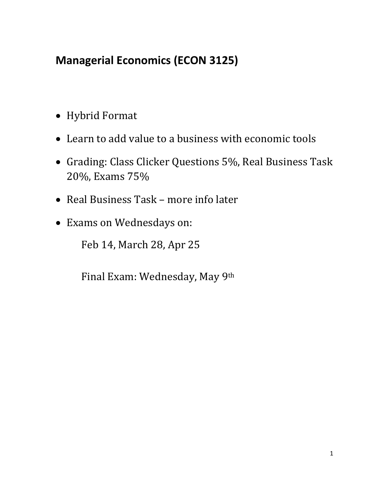# **Managerial Economics (ECON 3125)**

- Hybrid Format
- Learn to add value to a business with economic tools
- Grading: Class Clicker Questions 5%, Real Business Task 20%, Exams 75%
- Real Business Task more info later
- Exams on Wednesdays on:

Feb 14, March 28, Apr 25

Final Exam: Wednesday, May 9th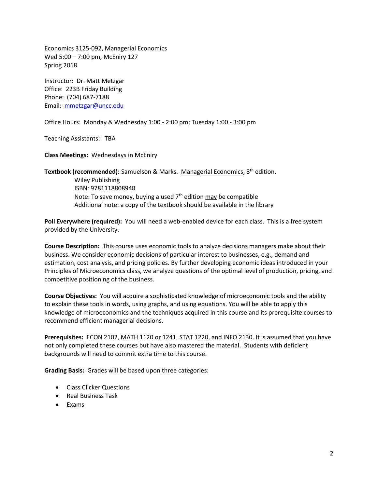Economics 3125-092, Managerial Economics Wed 5:00 – 7:00 pm, McEniry 127 Spring 2018

Instructor: Dr. Matt Metzgar Office: 223B Friday Building Phone: (704) 687-7188 Email: [mmetzgar@uncc.edu](mailto:mmetzgar@uncc.edu)

Office Hours: Monday & Wednesday 1:00 - 2:00 pm; Tuesday 1:00 - 3:00 pm

Teaching Assistants: TBA

**Class Meetings:** Wednesdays in McEniry

**Textbook (recommended):** Samuelson & Marks. Managerial Economics, 8th edition. Wiley Publishing ISBN: 9781118808948 Note: To save money, buying a used  $7<sup>th</sup>$  edition  $\frac{\text{max}}{\text{max}}$  be compatible Additional note: a copy of the textbook should be available in the library

**Poll Everywhere (required):** You will need a web-enabled device for each class. This is a free system provided by the University.

**Course Description:** This course uses economic tools to analyze decisions managers make about their business. We consider economic decisions of particular interest to businesses, e.g., demand and estimation, cost analysis, and pricing policies. By further developing economic ideas introduced in your Principles of Microeconomics class, we analyze questions of the optimal level of production, pricing, and competitive positioning of the business.

**Course Objectives:** You will acquire a sophisticated knowledge of microeconomic tools and the ability to explain these tools in words, using graphs, and using equations. You will be able to apply this knowledge of microeconomics and the techniques acquired in this course and its prerequisite courses to recommend efficient managerial decisions.

**Prerequisites:** ECON 2102, MATH 1120 or 1241, STAT 1220, and INFO 2130. It is assumed that you have not only completed these courses but have also mastered the material. Students with deficient backgrounds will need to commit extra time to this course.

**Grading Basis:** Grades will be based upon three categories:

- Class Clicker Questions
- Real Business Task
- Exams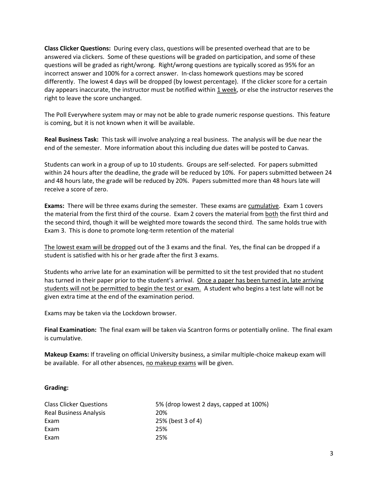**Class Clicker Questions:** During every class, questions will be presented overhead that are to be answered via clickers. Some of these questions will be graded on participation, and some of these questions will be graded as right/wrong. Right/wrong questions are typically scored as 95% for an incorrect answer and 100% for a correct answer. In-class homework questions may be scored differently. The lowest 4 days will be dropped (by lowest percentage). If the clicker score for a certain day appears inaccurate, the instructor must be notified within 1 week, or else the instructor reserves the right to leave the score unchanged.

The Poll Everywhere system may or may not be able to grade numeric response questions. This feature is coming, but it is not known when it will be available.

**Real Business Task:** This task will involve analyzing a real business. The analysis will be due near the end of the semester. More information about this including due dates will be posted to Canvas.

Students can work in a group of up to 10 students. Groups are self-selected. For papers submitted within 24 hours after the deadline, the grade will be reduced by 10%. For papers submitted between 24 and 48 hours late, the grade will be reduced by 20%. Papers submitted more than 48 hours late will receive a score of zero.

**Exams:** There will be three exams during the semester. These exams are cumulative. Exam 1 covers the material from the first third of the course. Exam 2 covers the material from both the first third and the second third, though it will be weighted more towards the second third. The same holds true with Exam 3. This is done to promote long-term retention of the material

The lowest exam will be dropped out of the 3 exams and the final. Yes, the final can be dropped if a student is satisfied with his or her grade after the first 3 exams.

Students who arrive late for an examination will be permitted to sit the test provided that no student has turned in their paper prior to the student's arrival. Once a paper has been turned in, late arriving students will not be permitted to begin the test or exam. A student who begins a test late will not be given extra time at the end of the examination period.

Exams may be taken via the Lockdown browser.

**Final Examination:** The final exam will be taken via Scantron forms or potentially online. The final exam is cumulative.

**Makeup Exams:** If traveling on official University business, a similar multiple-choice makeup exam will be available. For all other absences, no makeup exams will be given.

### **Grading:**

| <b>Class Clicker Questions</b> | 5% (drop lowest 2 days, capped at 100%) |
|--------------------------------|-----------------------------------------|
| Real Business Analysis         | 20%                                     |
| Exam                           | 25% (best 3 of 4)                       |
| Exam                           | 25%                                     |
| Exam                           | 25%                                     |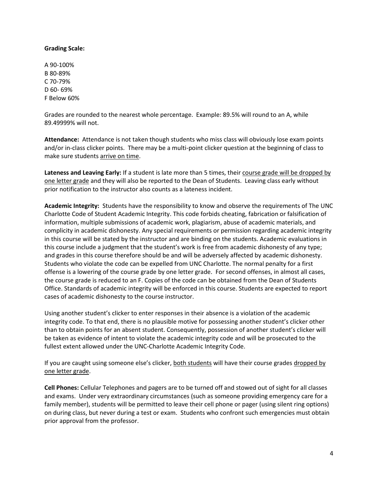## **Grading Scale:**

A 90-100% B 80-89% C 70-79% D 60- 69% F Below 60%

Grades are rounded to the nearest whole percentage. Example: 89.5% will round to an A, while 89.49999% will not.

**Attendance:** Attendance is not taken though students who miss class will obviously lose exam points and/or in-class clicker points. There may be a multi-point clicker question at the beginning of class to make sure students arrive on time.

**Lateness and Leaving Early:** If a student is late more than 5 times, their course grade will be dropped by one letter grade and they will also be reported to the Dean of Students. Leaving class early without prior notification to the instructor also counts as a lateness incident.

**Academic Integrity:** Students have the responsibility to know and observe the requirements of The UNC Charlotte Code of Student Academic Integrity. This code forbids cheating, fabrication or falsification of information, multiple submissions of academic work, plagiarism, abuse of academic materials, and complicity in academic dishonesty. Any special requirements or permission regarding academic integrity in this course will be stated by the instructor and are binding on the students. Academic evaluations in this course include a judgment that the student's work is free from academic dishonesty of any type; and grades in this course therefore should be and will be adversely affected by academic dishonesty. Students who violate the code can be expelled from UNC Charlotte. The normal penalty for a first offense is a lowering of the course grade by one letter grade. For second offenses, in almost all cases, the course grade is reduced to an F. Copies of the code can be obtained from the Dean of Students Office. Standards of academic integrity will be enforced in this course. Students are expected to report cases of academic dishonesty to the course instructor.

Using another student's clicker to enter responses in their absence is a violation of the academic integrity code. To that end, there is no plausible motive for possessing another student's clicker other than to obtain points for an absent student. Consequently, possession of another student's clicker will be taken as evidence of intent to violate the academic integrity code and will be prosecuted to the fullest extent allowed under the UNC-Charlotte Academic Integrity Code.

If you are caught using someone else's clicker, both students will have their course grades dropped by one letter grade.

**Cell Phones:** Cellular Telephones and pagers are to be turned off and stowed out of sight for all classes and exams. Under very extraordinary circumstances (such as someone providing emergency care for a family member), students will be permitted to leave their cell phone or pager (using silent ring options) on during class, but never during a test or exam. Students who confront such emergencies must obtain prior approval from the professor.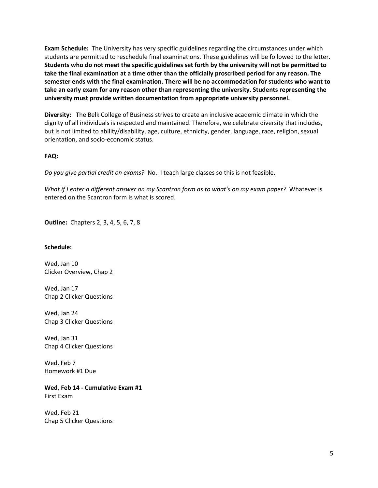**Exam Schedule:** The University has very specific guidelines regarding the circumstances under which students are permitted to reschedule final examinations. These guidelines will be followed to the letter. **Students who do not meet the specific guidelines set forth by the university will not be permitted to take the final examination at a time other than the officially proscribed period for any reason. The semester ends with the final examination. There will be no accommodation for students who want to take an early exam for any reason other than representing the university. Students representing the university must provide written documentation from appropriate university personnel.**

**Diversity:** The Belk College of Business strives to create an inclusive academic climate in which the dignity of all individuals is respected and maintained. Therefore, we celebrate diversity that includes, but is not limited to ability/disability, age, culture, ethnicity, gender, language, race, religion, sexual orientation, and socio-economic status.

# **FAQ:**

*Do you give partial credit on exams?* No. I teach large classes so this is not feasible.

*What if I enter a different answer on my Scantron form as to what's on my exam paper?* Whatever is entered on the Scantron form is what is scored.

**Outline:** Chapters 2, 3, 4, 5, 6, 7, 8

# **Schedule:**

Wed, Jan 10 Clicker Overview, Chap 2

Wed, Jan 17 Chap 2 Clicker Questions

Wed, Jan 24 Chap 3 Clicker Questions

Wed, Jan 31 Chap 4 Clicker Questions

Wed, Feb 7 Homework #1 Due

**Wed, Feb 14 - Cumulative Exam #1** First Exam

Wed, Feb 21 Chap 5 Clicker Questions